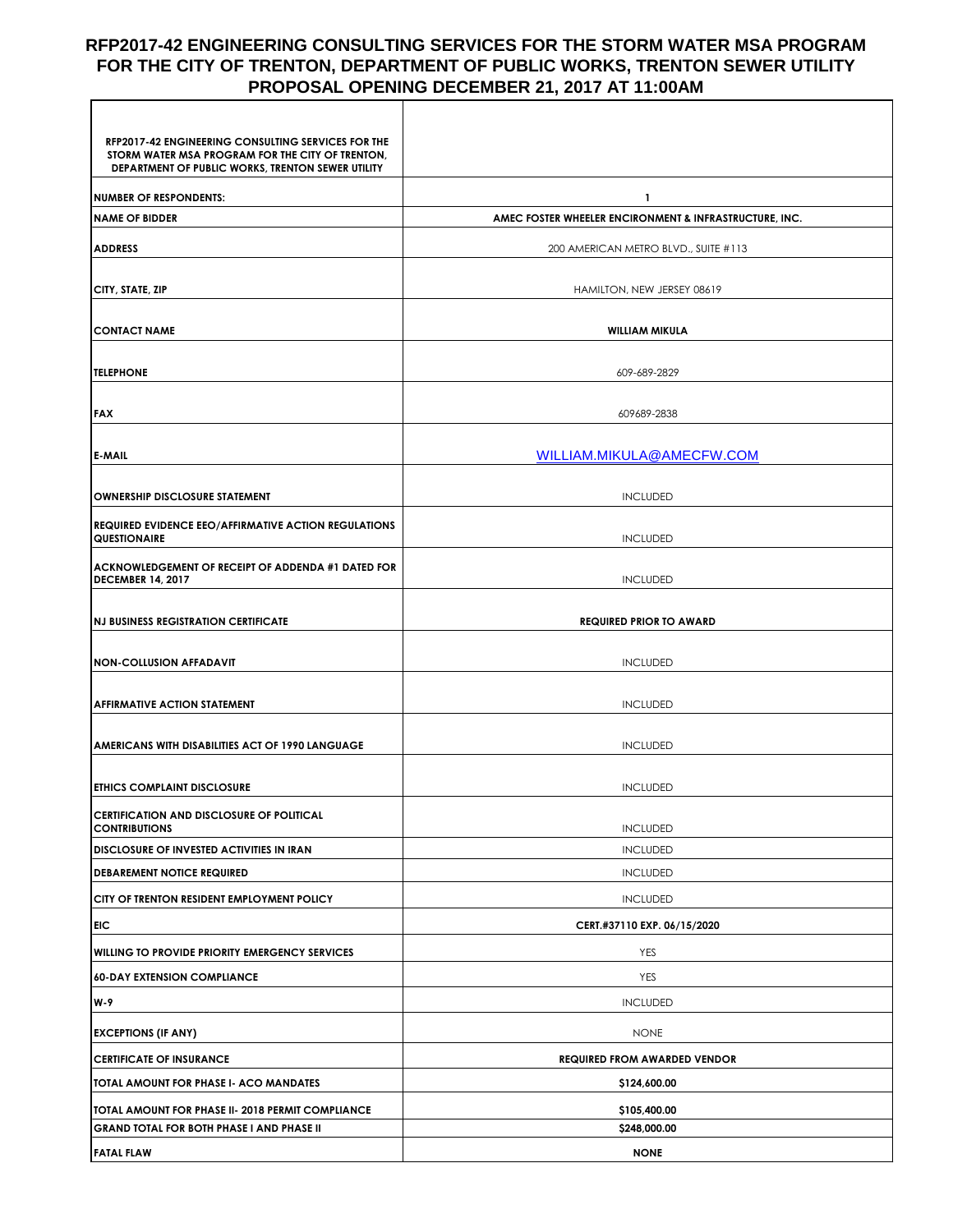## **RFP2017-42 ENGINEERING CONSULTING SERVICES FOR THE STORM WATER MSA PROGRAM FOR THE CITY OF TRENTON, DEPARTMENT OF PUBLIC WORKS, TRENTON SEWER UTILITY PROPOSAL OPENING DECEMBER 21, 2017 AT 11:00AM**

| RFP2017-42 ENGINEERING CONSULTING SERVICES FOR THE<br>STORM WATER MSA PROGRAM FOR THE CITY OF TRENTON,<br>DEPARTMENT OF PUBLIC WORKS, TRENTON SEWER UTILITY |                                                        |
|-------------------------------------------------------------------------------------------------------------------------------------------------------------|--------------------------------------------------------|
| <b>NUMBER OF RESPONDENTS:</b>                                                                                                                               | 1                                                      |
| <b>NAME OF BIDDER</b>                                                                                                                                       | AMEC FOSTER WHEELER ENCIRONMENT & INFRASTRUCTURE, INC. |
| <b>ADDRESS</b>                                                                                                                                              | 200 AMERICAN METRO BLVD., SUITE #113                   |
|                                                                                                                                                             |                                                        |
| CITY, STATE, ZIP                                                                                                                                            | HAMILTON, NEW JERSEY 08619                             |
|                                                                                                                                                             |                                                        |
| <b>CONTACT NAME</b>                                                                                                                                         | <b>WILLIAM MIKULA</b>                                  |
| <b>TELEPHONE</b>                                                                                                                                            | 609-689-2829                                           |
|                                                                                                                                                             |                                                        |
| <b>FAX</b>                                                                                                                                                  | 609689-2838                                            |
|                                                                                                                                                             |                                                        |
| <b>E-MAIL</b>                                                                                                                                               | WILLIAM.MIKULA@AMECFW.COM                              |
| <b>OWNERSHIP DISCLOSURE STATEMENT</b>                                                                                                                       | <b>INCLUDED</b>                                        |
| <b>REQUIRED EVIDENCE EEO/AFFIRMATIVE ACTION REGULATIONS</b>                                                                                                 |                                                        |
| <b>QUESTIONAIRE</b>                                                                                                                                         | <b>INCLUDED</b>                                        |
| ACKNOWLEDGEMENT OF RECEIPT OF ADDENDA #1 DATED FOR<br><b>DECEMBER 14, 2017</b>                                                                              | <b>INCLUDED</b>                                        |
|                                                                                                                                                             |                                                        |
| INJ BUSINESS REGISTRATION CERTIFICATE                                                                                                                       | <b>REQUIRED PRIOR TO AWARD</b>                         |
| <b>NON-COLLUSION AFFADAVIT</b>                                                                                                                              | <b>INCLUDED</b>                                        |
|                                                                                                                                                             |                                                        |
| <b>AFFIRMATIVE ACTION STATEMENT</b>                                                                                                                         | <b>INCLUDED</b>                                        |
|                                                                                                                                                             |                                                        |
| <b>AMERICANS WITH DISABILITIES ACT OF 1990 LANGUAGE</b>                                                                                                     | <b>INCLUDED</b>                                        |
| <b>ETHICS COMPLAINT DISCLOSURE</b>                                                                                                                          | <b>INCLUDED</b>                                        |
| CERTIFICATION AND DISCLOSURE OF POLITICAL                                                                                                                   |                                                        |
| <b>CONTRIBUTIONS</b>                                                                                                                                        | <b>INCLUDED</b>                                        |
| <b>DISCLOSURE OF INVESTED ACTIVITIES IN IRAN</b>                                                                                                            | <b>INCLUDED</b>                                        |
| <b>DEBAREMENT NOTICE REQUIRED</b>                                                                                                                           | <b>INCLUDED</b>                                        |
| CITY OF TRENTON RESIDENT EMPLOYMENT POLICY                                                                                                                  | <b>INCLUDED</b>                                        |
| <b>EIC</b>                                                                                                                                                  | CERT.#37110 EXP. 06/15/2020                            |
| <b>WILLING TO PROVIDE PRIORITY EMERGENCY SERVICES</b>                                                                                                       | <b>YES</b>                                             |
| <b>60-DAY EXTENSION COMPLIANCE</b>                                                                                                                          | YES                                                    |
| W-9                                                                                                                                                         | <b>INCLUDED</b>                                        |
| <b>EXCEPTIONS (IF ANY)</b>                                                                                                                                  | <b>NONE</b>                                            |
| <b>CERTIFICATE OF INSURANCE</b>                                                                                                                             | <b>REQUIRED FROM AWARDED VENDOR</b>                    |
| TOTAL AMOUNT FOR PHASE I- ACO MANDATES                                                                                                                      | \$124,600.00                                           |
| TOTAL AMOUNT FOR PHASE II- 2018 PERMIT COMPLIANCE                                                                                                           | \$105,400.00                                           |
| <b>GRAND TOTAL FOR BOTH PHASE I AND PHASE II</b>                                                                                                            | \$248,000.00                                           |
| <b>FATAL FLAW</b>                                                                                                                                           | <b>NONE</b>                                            |